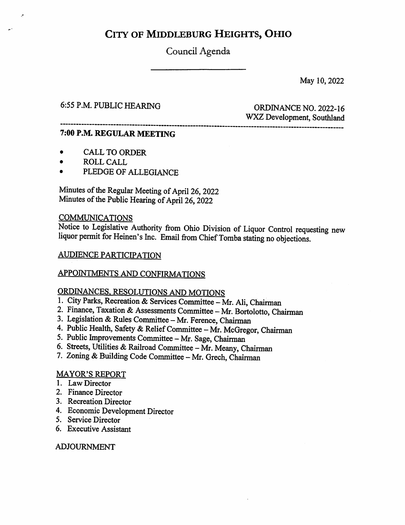# CITY OF MIDDLEBURG HEIGHTS, OHIO

Council Agenda

May 10,2022

## 6:55 P.M. PUBLIC HEARING ORDINANCE NO. 2022-16

WX2 Development, Southland

#### 7:00 P.M. REGULAR MEETING

- CALL TO ORDER
- ROLL CALL<br>• PLEDGE OF
- PLEDGE OF ALLEGIANCE

Minutes of the Regular Meeting of April 26, 2022 Minutes of the Public Hearing of April 26, 2022

#### **COMMUNICATIONS**

liquor permit for Heinen's Inc. Email from Chief Tomba stating no objections. Notice to Legislative Authority from Ohio Division of Liquor Control requesting new

#### AUDIENCE PARTICIPATION

#### APPOINTMENTS AND CONFIRMATIONS

# ORDINANCES, RESOLUTIONS AND MOTIONS

- 1. City Parks, Recreation & Services Committee Mr. Ali, Chairman
- 2. Finance, Taxation & Assessments Committee Mr. Bortolotto, Chairman
- 3. Legislation & Rules Committee Mr. Ference, Chairman
- 4. Public Health, Safety & Relief Committee Mr. McGregor, Chairman
- 5. Public Improvements Committee Mr. Sage, Chairman
- 6. Streets, Utilities & Railroad Committee Mr. Meany, Chairman
- 7. Zoning & Building Code Committee Mr. Grech, Chairman

#### MAYOR'S REPORT

- 1. Law Director
- 2. Finance Director
- 3. Recreation Director
- 4. Economic Development Director
- 5. Service Director
- 6. Executive Assistant

#### ADJOURNMENT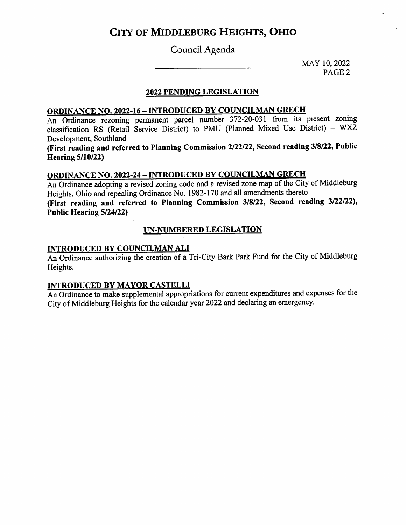# CITY OF MIDDLEBURG HEIGHTS, OHIO

## Council Agenda

MAY 10, 2022 PAGE 2

#### 2022 PENDING LEGISLATION

## ORDINANCE NO. 2022-16 - INTRODUCED BY COUNCILMAN GRECH

An Ordinance rezoning permanent parcel number 372-20-031 from its present zoning classification RS (Retail Service District) to PMU (Planned Mixed Use District) - WXZ Development, Southland

(First reading and referred to Planning Commission 2/22/22, Second reading 3/8/22, Public Hearing 5/10/22)

## ORDINANCE NO. 2022-24 - INTRODUCED BY COUNCILMAN GRECH

An Ordinance adopting a revised zoning code and a revised zone map of the City of Middleburg Heights, Ohio and repealing Ordinance No. 1982-170 and all amendments thereto (First reading and referred to Planning Commission 3/8/22, Second reading 3/22/22), Public Hearing 5/24/22)

#### UN-NUMBERED LEGISLATION

#### INTRODUCED BY COUNCILMAN ALI

An Ordinance authorizing the creation of a Tri-City Bark Park Fund for the City of Middleburg Heights.

#### INTRODUCED BY MAYOR CASTELLI

An Ordinance to make supplemental appropriations for current expenditures and expenses for the City of Middleburg Heights for the calendar year 2022 and declaring an emergency.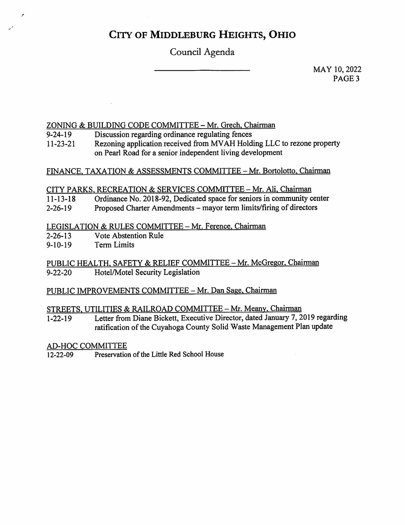# City of Middleburg Heights, Ohio

# Council Agenda

MAY 10, 2022 PAGE<sub>3</sub>

### ZONING & BUILDING CODE COMMITTEE - Mr. Grech, Chairman

Discussion regarding ordinance regulating fences 9-24-19

Rezoning application received from MVAH Holding LLC to rezone property on Pearl Road for a senior independent living development 11-23-21

#### FINANCE, TAXATION & ASSESSMENTS COMMITTEE - Mr. Bortolotto, Chairman

#### CITY PARKS, RECREATION & SERVICES COMMITTEE - Mr. Ali, Chairman

- Ordinance No. 2018-92, Dedicated space for seniors in community center 11-13-18
- Proposed Charter Amendments mayor term limits/firing of directors 2-26-19

#### LEGISLATION & RULES COMMITTEE - Mr. Ference, Chairman

- Vote Abstention Rule 2-26-13
- **Term Limits** 9-10-19

PUBLIC HEALTH, SAFETY & RELIEF COMMITTEE - Mr. McGregor, Chairman<br>9-22-20 Hotel/Motel Security Legislation Hotel/Motel Security Legislation

#### PUBLIC IMPROVEMENTS COMMITTEE - Mr. Dan Sage, Chairman

#### STREETS, UTILITIES & RAILROAD COMMITTEE - Mr. Meany, Chairman

Letter from Diane Bickett, Executive Director, dated January 7, 2019 regarding ratification of the Cuyahoga County Solid Waste Management Plan update 1-22-19

#### AD-HOC COMMITTEE

12-22-09 Preservation of the Little Red School House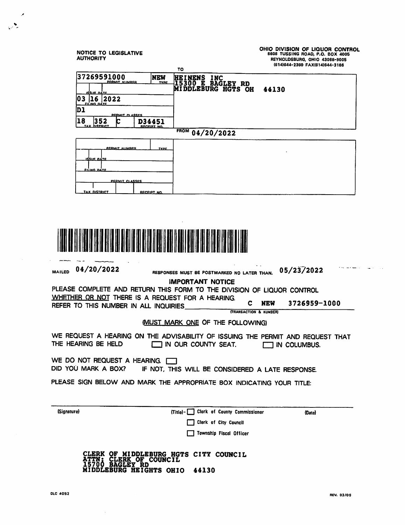| <b>NOTICE TO LEGISLATIVE</b><br><b>AUTHORITY</b>                                                                                                                                            | то                   |                                                                                                                  | <b>BBOB TUSSING ROAD, P.O. BOX 4005</b><br>REYNOLDSBURG, OHIO 43068-9005<br>(614)644-2360 FAX(614)644-3186 | OHIO DIVISION OF LIQUOR CONTROL |
|---------------------------------------------------------------------------------------------------------------------------------------------------------------------------------------------|----------------------|------------------------------------------------------------------------------------------------------------------|------------------------------------------------------------------------------------------------------------|---------------------------------|
| 37269591000<br><b>PERMIT NUMBER</b><br>isue na<br> 03  16  2022                                                                                                                             | <b>NEW</b><br>TYPE   | HEINENS INC<br>I5300 E BAGLEY RD<br>MIDDLEBURG HGTS OH                                                           | 44130                                                                                                      |                                 |
| <b>FILING DATE</b><br>נס<br><u>PERMIT CLASSES</u><br> 18<br>352                                                                                                                             | D34451               |                                                                                                                  |                                                                                                            |                                 |
| DISTRICT<br>TAY                                                                                                                                                                             | RECEIPT NO.          | FROM 04/20/2022                                                                                                  |                                                                                                            |                                 |
| <u>PERMIT NUMBER</u><br><u>ISSUE DATE</u><br><b>PILING DATE</b>                                                                                                                             | <b>TYPE</b>          |                                                                                                                  |                                                                                                            |                                 |
| <u>PERMIT CLASSES</u><br><b>TAX DISTRICT</b>                                                                                                                                                | <b>RECEIPT NO.</b>   |                                                                                                                  |                                                                                                            |                                 |
| 04/20/2022<br>MAILED<br>PLEASE COMPLETE AND RETURN THIS FORM TO THE DIVISION OF LIQUOR CONTROL<br>WHETHER OR NOT THERE IS A REQUEST FOR A HEARING.<br>REFER TO THIS NUMBER IN ALL INQUIRIES |                      | RESPONSES MUST BE POSTMARKED NO LATER THAN.<br><b>IMPORTANT NOTICE</b><br>С<br><b>(TRANSACTION &amp; NUMBER)</b> | 05/2372022<br><b>NEW</b>                                                                                   | 3726959-1000                    |
|                                                                                                                                                                                             |                      | <b>IMUST MARK ONE OF THE FOLLOWING)</b>                                                                          |                                                                                                            |                                 |
| WE REQUEST A HEARING ON THE ADVISABILITY OF ISSUING THE PERMIT AND REQUEST THAT<br>THE HEARING BE HELD                                                                                      |                      | $\Box$ IN OUR COUNTY SEAT.                                                                                       | IN COLUMBUS.                                                                                               |                                 |
| WE DO NOT REQUEST A HEARING.<br>DID YOU MARK A BOX?                                                                                                                                         |                      | IF NOT, THIS WILL BE CONSIDERED A LATE RESPONSE.                                                                 |                                                                                                            |                                 |
| PLEASE SIGN BELOW AND MARK THE APPROPRIATE BOX INDICATING YOUR TITLE:                                                                                                                       |                      |                                                                                                                  |                                                                                                            |                                 |
| (Signature)                                                                                                                                                                                 | $(Tite) - \bigsqcup$ | Clerk of County Commissioner                                                                                     |                                                                                                            | (Date)                          |
|                                                                                                                                                                                             |                      | Clerk of City Council                                                                                            |                                                                                                            |                                 |
|                                                                                                                                                                                             |                      | Township Fiscal Officer                                                                                          |                                                                                                            |                                 |
| MIDDLEBURG HEIGHTS OHIO 44130                                                                                                                                                               |                      | CLERK OF MIDDLEBURG HGTS CITY COUNCIL<br>ATTN: CLERK OF COUNCIL<br>15700 BAGLEY RD                               |                                                                                                            |                                 |

 $\mathcal{A}^{\mathcal{A}}$ 

 $\mathcal{L}$ 

 $\mathcal{L}$ 

 $\hat{\mathcal{A}}$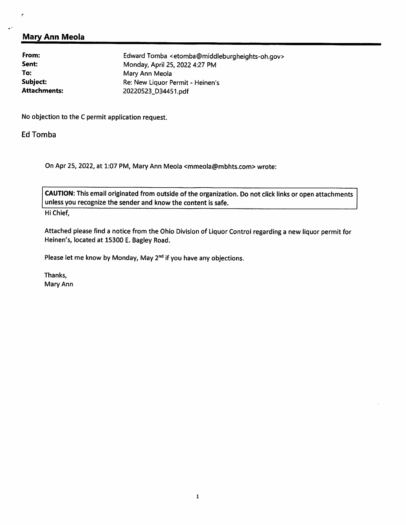### Mary Ann Meola

| Edward Tomba <etomba@middleburgheights-oh.gov></etomba@middleburgheights-oh.gov> |  |
|----------------------------------------------------------------------------------|--|
| Monday, April 25, 2022 4:27 PM                                                   |  |
| Mary Ann Meola                                                                   |  |
| Re: New Liquor Permit - Heinen's                                                 |  |
| 20220523_D34451.pdf                                                              |  |
|                                                                                  |  |

No objection to the C permit application request.

Ed Tomba

On Apr 25, 2022, at 1:07 PM, Mary Ann Meola <mmeola@mbhts.com> wrote:

CAUTION: This email originated from outside of the organization. Do not click links or open attachments unless you recognize the sender and know the content is safe.

Hi Chief,

Attached please find a notice from the Ohio Division of Liquor Control regarding a new liquor permit for Heinen's, located at 15300 E. Bagley Road.

Please let me know by Monday, May 2<sup>nd</sup> if you have any objections.

Thanks, Mary Ann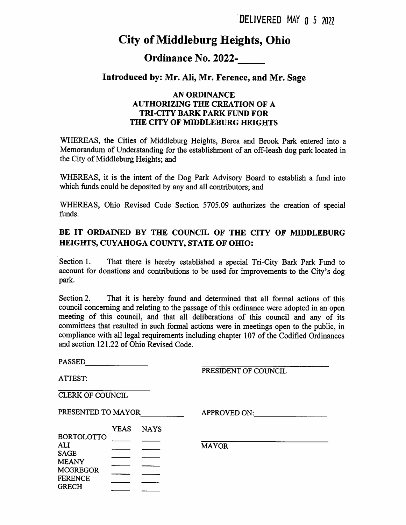# City of Middleburg Heights, Ohio

## Ordinance No. 2022-

### Introduced by: Mr. Ali, Mr. Ference, and Mr. Sage

#### AN ORDINANCE AUTHORIZING THE CREATION OF A TRI-CITY BARK PARK FUND FOR THE CITY OF MIDDLEBURG HEIGHTS

WHEREAS, the Cities of Middleburg Heights, Berea and Brook Park entered into a Memorandum of Understanding for the establishment of an off-leash dog park located in the City of Middleburg Heights; and

WHEREAS, it is the intent of the Dog Park Advisory Board to establish a fund into which funds could be deposited by any and all contributors; and

WHEREAS, Ohio Revised Code Section 5705.09 authorizes the creation of special funds.

### BE IT ORDAINED BY THE COUNCIL OF THE CITY OF MIDDLEBURG HEIGHTS, CUYAHOGA COUNTY, STATE OF OHIO:

Section 1. account for donations and contributions to be used for improvements to the City's dog park. That there is hereby established a special Tri-City Bark Park Fund to

Section 2. council concerning and relating to the passage of this ordinance were adopted in an open meeting of this council, and that all deliberations of this council and any of its committees that resulted in such formal actions were in meetings open to the public, in compliance with all legal requirements including chapter 107 of the Codified Ordinances and section 121.22 of Ohio Revised Code. That it is hereby found and determined that all formal actions of this

| <b>PASSED</b>                                  |             |             |                      |
|------------------------------------------------|-------------|-------------|----------------------|
| ATTEST:                                        |             |             | PRESIDENT OF COUNCIL |
| CLERK OF COUNCIL                               |             |             |                      |
| PRESENTED TO MAYOR                             |             |             | <b>APPROVED ON:</b>  |
|                                                | <b>YEAS</b> | <b>NAYS</b> |                      |
| <b>BORTOLOTTO</b><br><b>ALI</b><br><b>SAGE</b> |             |             | <b>MAYOR</b>         |
| <b>MEANY</b><br><b>MCGREGOR</b>                |             |             |                      |
| <b>FERENCE</b><br><b>GRECH</b>                 |             |             |                      |